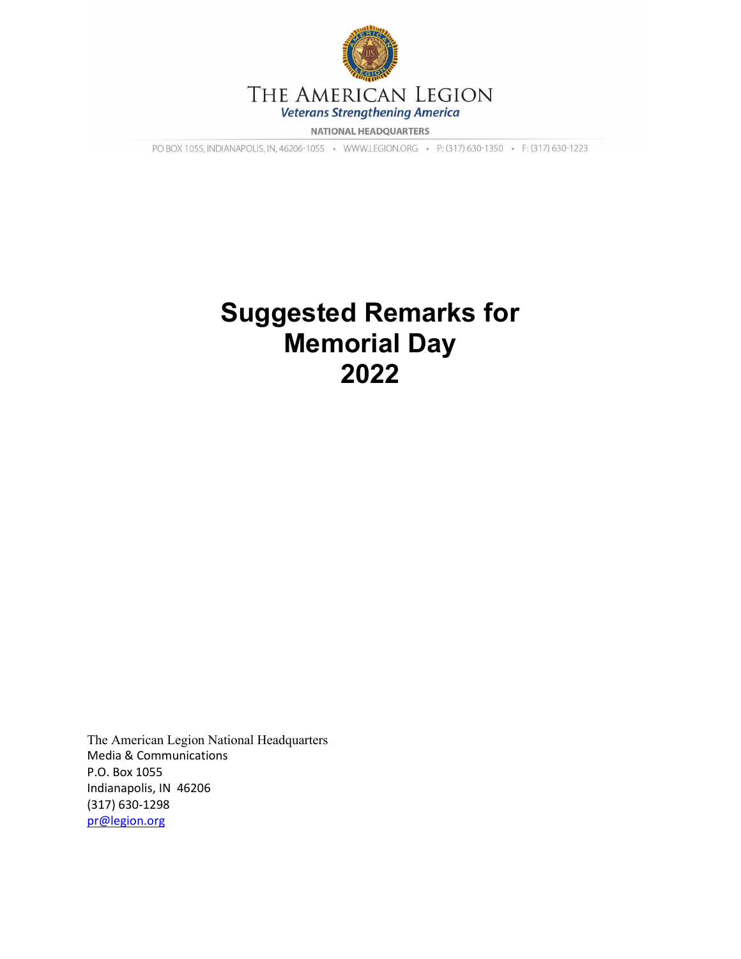

**NATIONAL HEADQUARTERS** 

PO BOX 1055, INDIANAPOLIS, IN, 46206-1055 · WWW.LEGION.ORG · P: (317) 630-1350 · F: (317) 630-1223

## **Suggested Remarks for Memorial Day 2022**

The American Legion National Headquarters Media & Communications P.O. Box 1055 Indianapolis, IN 46206 (317) 630-1298 [pr@legion.org](mailto:pr@legion.org)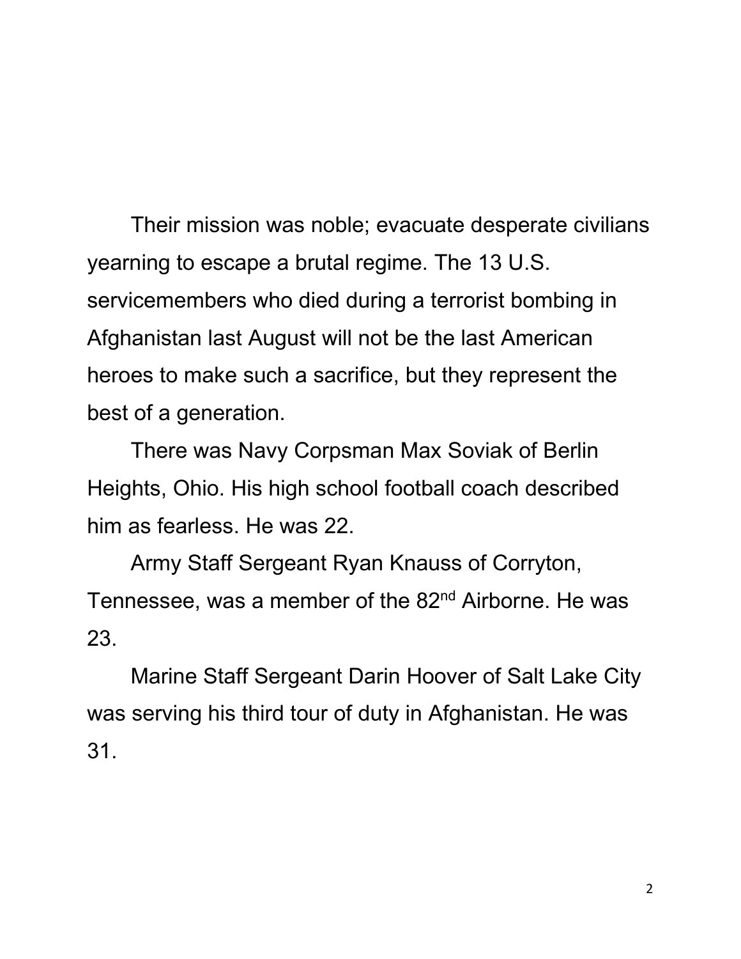Their mission was noble; evacuate desperate civilians yearning to escape a brutal regime. The 13 U.S. servicemembers who died during a terrorist bombing in Afghanistan last August will not be the last American heroes to make such a sacrifice, but they represent the best of a generation.

There was Navy Corpsman Max Soviak of Berlin Heights, Ohio. His high school football coach described him as fearless. He was 22.

Army Staff Sergeant Ryan Knauss of Corryton, Tennessee, was a member of the 82<sup>nd</sup> Airborne. He was 23.

Marine Staff Sergeant Darin Hoover of Salt Lake City was serving his third tour of duty in Afghanistan. He was 31.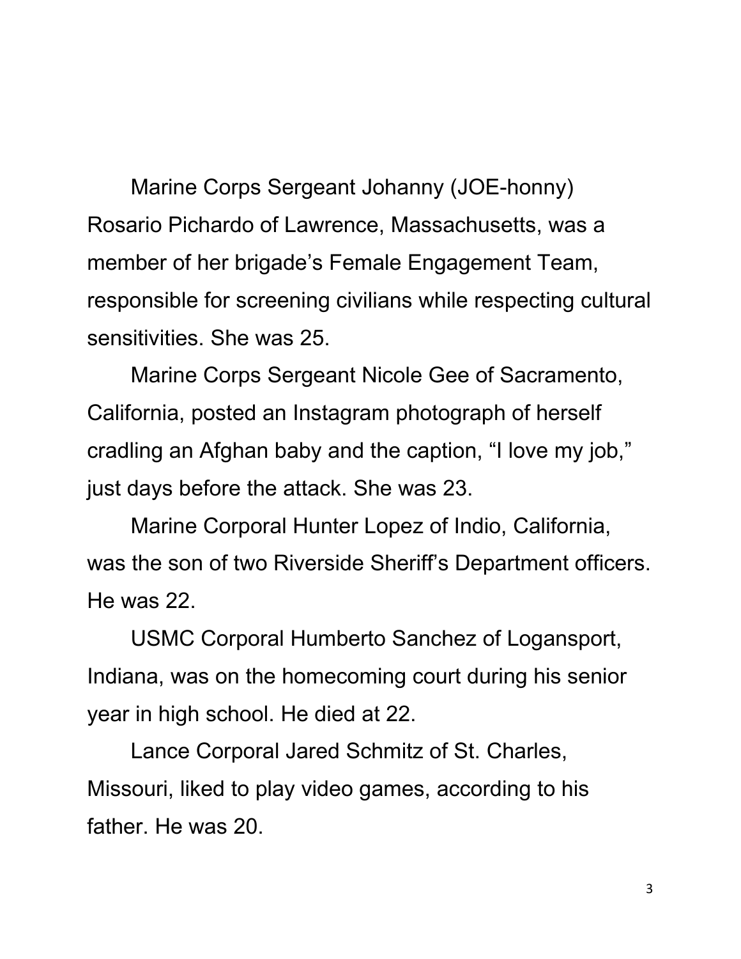Marine Corps Sergeant Johanny (JOE-honny) Rosario Pichardo of Lawrence, Massachusetts, was a member of her brigade's Female Engagement Team, responsible for screening civilians while respecting cultural sensitivities. She was 25.

Marine Corps Sergeant Nicole Gee of Sacramento, California, posted an Instagram photograph of herself cradling an Afghan baby and the caption, "I love my job," just days before the attack. She was 23.

Marine Corporal Hunter Lopez of Indio, California, was the son of two Riverside Sheriff's Department officers. He was 22.

USMC Corporal Humberto Sanchez of Logansport, Indiana, was on the homecoming court during his senior year in high school. He died at 22.

Lance Corporal Jared Schmitz of St. Charles, Missouri, liked to play video games, according to his father. He was 20.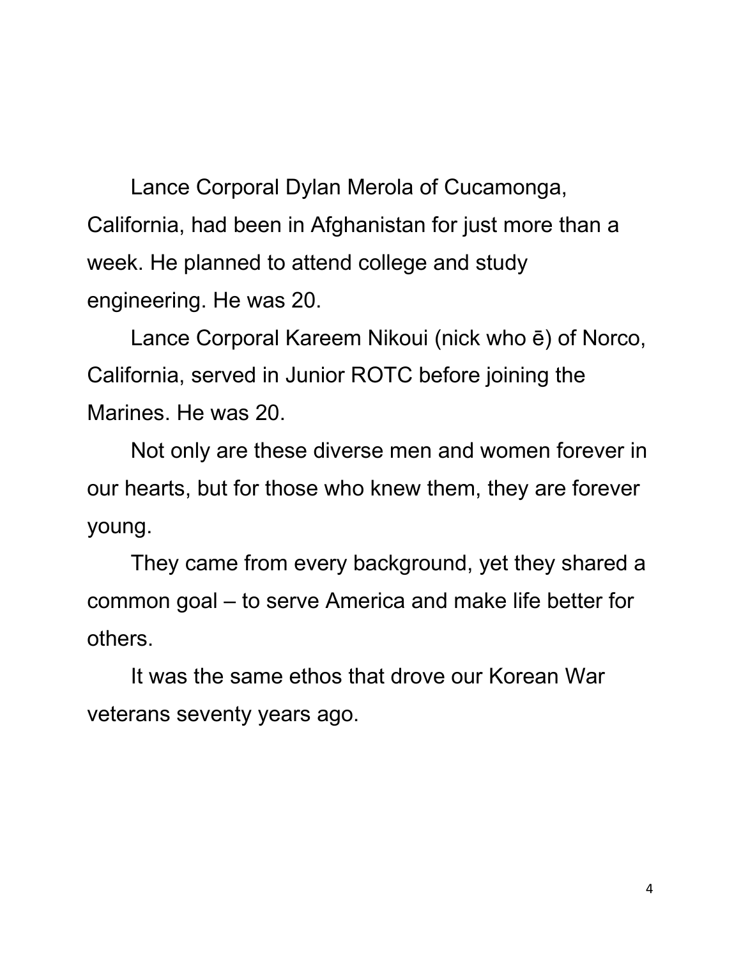Lance Corporal Dylan Merola of Cucamonga, California, had been in Afghanistan for just more than a week. He planned to attend college and study engineering. He was 20.

Lance Corporal Kareem Nikoui (nick who ē) of Norco, California, served in Junior ROTC before joining the Marines. He was 20.

Not only are these diverse men and women forever in our hearts, but for those who knew them, they are forever young.

They came from every background, yet they shared a common goal – to serve America and make life better for others.

It was the same ethos that drove our Korean War veterans seventy years ago.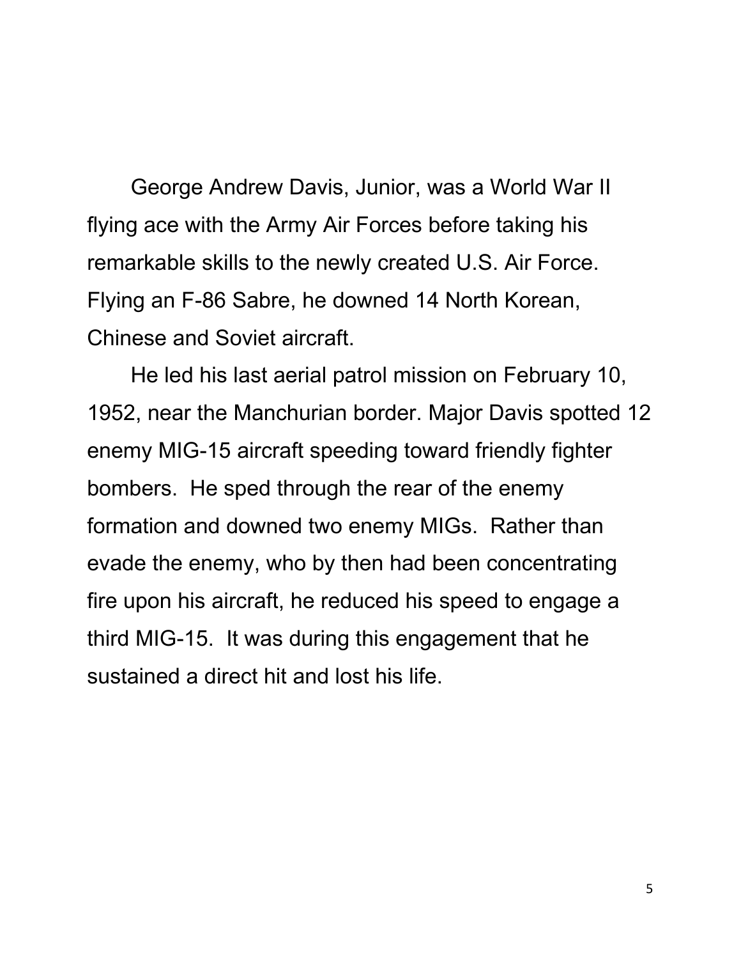George Andrew Davis, Junior, was a World War II flying ace with the Army Air Forces before taking his remarkable skills to the newly created U.S. Air Force. Flying an F-86 Sabre, he downed 14 North Korean, Chinese and Soviet aircraft.

He led his last aerial patrol mission on February 10, 1952, near the Manchurian border. Major Davis spotted 12 enemy MIG-15 aircraft speeding toward friendly fighter bombers. He sped through the rear of the enemy formation and downed two enemy MIGs. Rather than evade the enemy, who by then had been concentrating fire upon his aircraft, he reduced his speed to engage a third MIG-15. It was during this engagement that he sustained a direct hit and lost his life.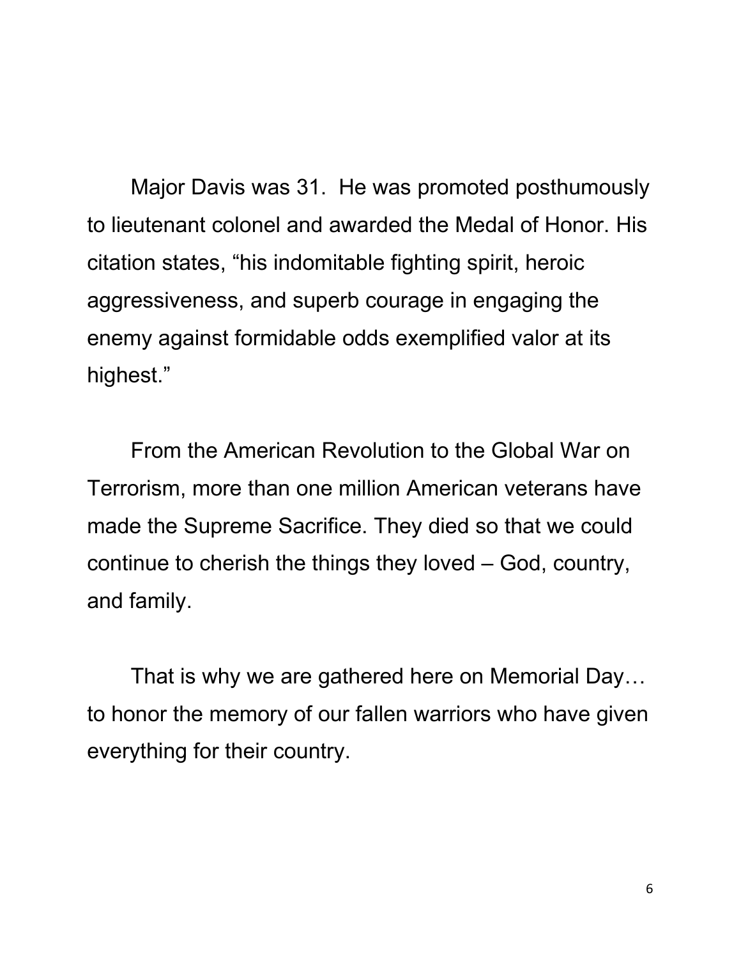Major Davis was 31. He was promoted posthumously to lieutenant colonel and awarded the Medal of Honor. His citation states, "his indomitable fighting spirit, heroic aggressiveness, and superb courage in engaging the enemy against formidable odds exemplified valor at its highest."

From the American Revolution to the Global War on Terrorism, more than one million American veterans have made the Supreme Sacrifice. They died so that we could continue to cherish the things they loved – God, country, and family.

That is why we are gathered here on Memorial Day… to honor the memory of our fallen warriors who have given everything for their country.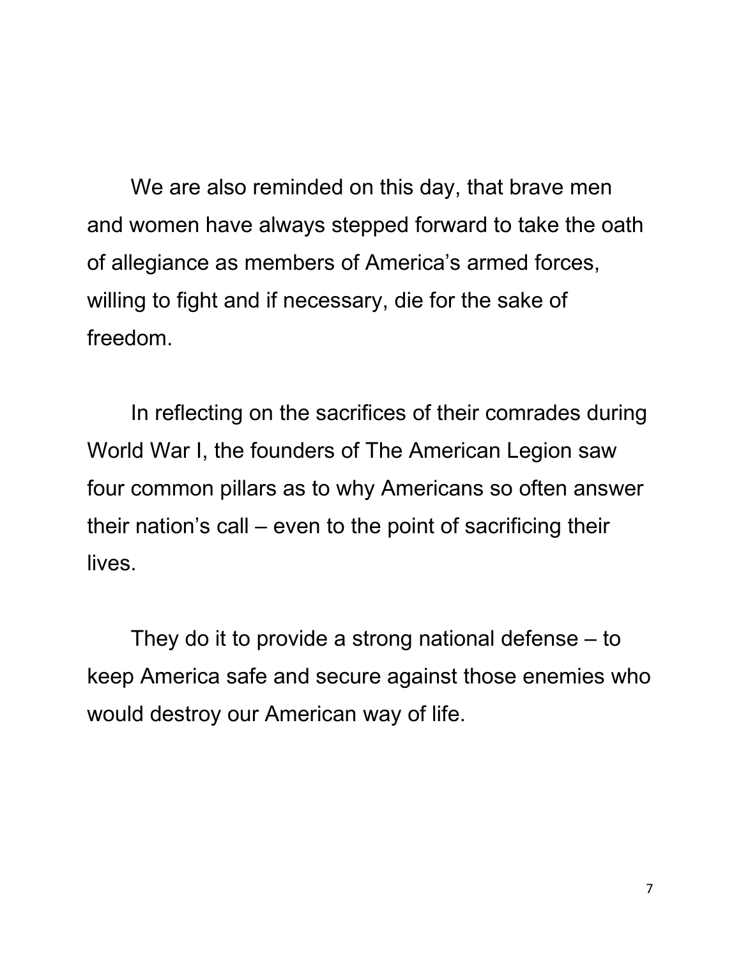We are also reminded on this day, that brave men and women have always stepped forward to take the oath of allegiance as members of America's armed forces, willing to fight and if necessary, die for the sake of freedom.

In reflecting on the sacrifices of their comrades during World War I, the founders of The American Legion saw four common pillars as to why Americans so often answer their nation's call – even to the point of sacrificing their lives.

They do it to provide a strong national defense – to keep America safe and secure against those enemies who would destroy our American way of life.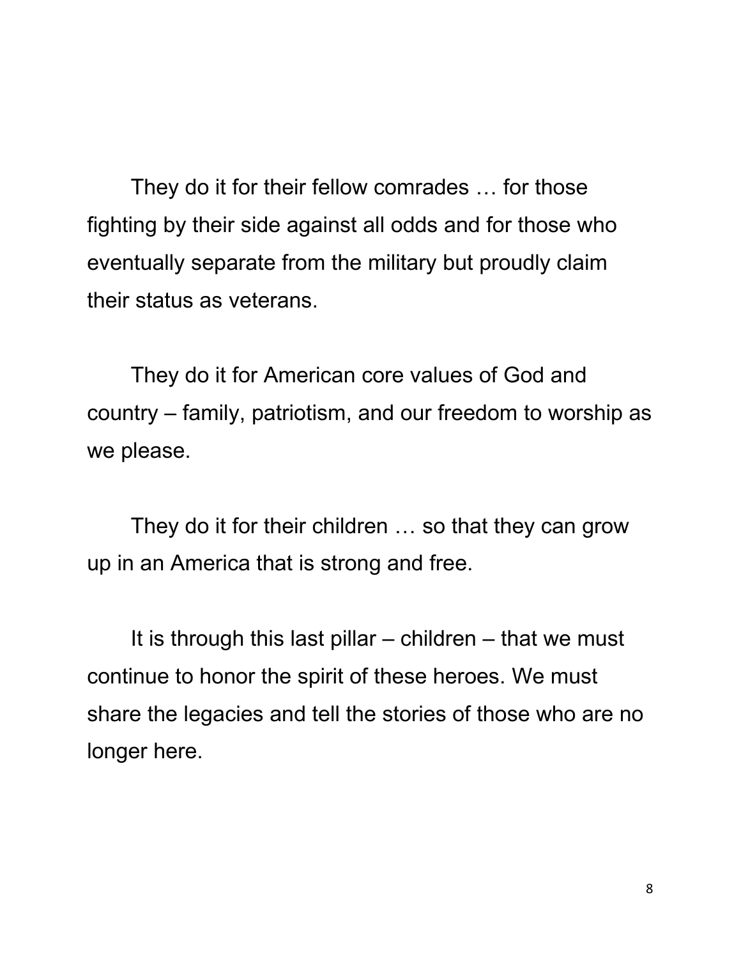They do it for their fellow comrades … for those fighting by their side against all odds and for those who eventually separate from the military but proudly claim their status as veterans.

They do it for American core values of God and country – family, patriotism, and our freedom to worship as we please.

They do it for their children … so that they can grow up in an America that is strong and free.

It is through this last pillar  $-$  children  $-$  that we must continue to honor the spirit of these heroes. We must share the legacies and tell the stories of those who are no longer here.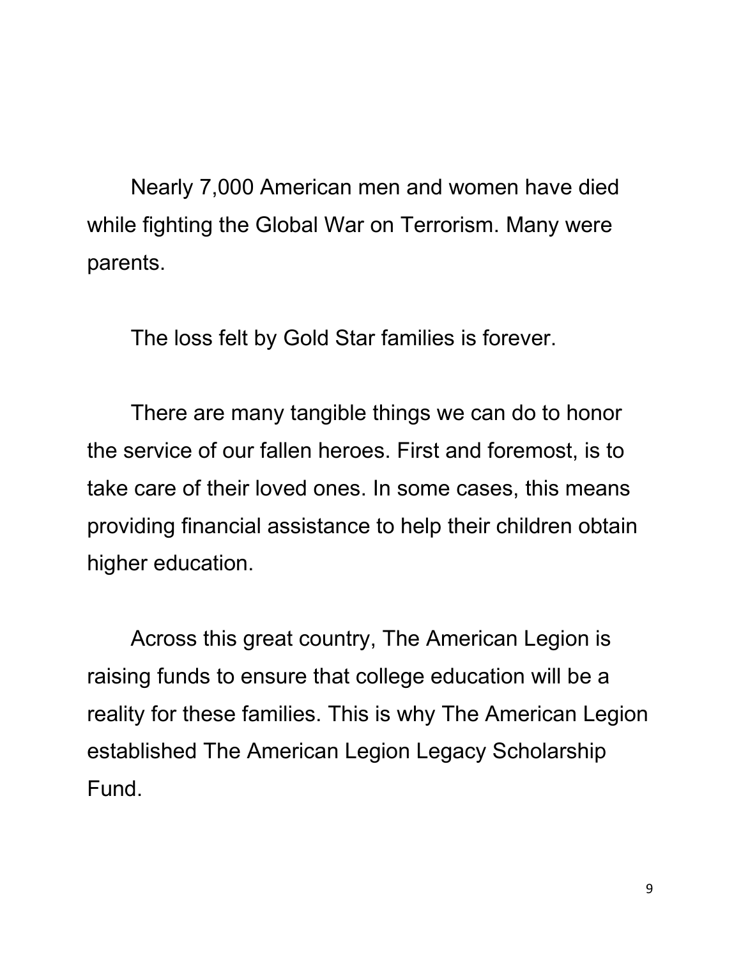Nearly 7,000 American men and women have died while fighting the Global War on Terrorism. Many were parents.

The loss felt by Gold Star families is forever.

There are many tangible things we can do to honor the service of our fallen heroes. First and foremost, is to take care of their loved ones. In some cases, this means providing financial assistance to help their children obtain higher education.

Across this great country, The American Legion is raising funds to ensure that college education will be a reality for these families. This is why The American Legion established The American Legion Legacy Scholarship Fund.